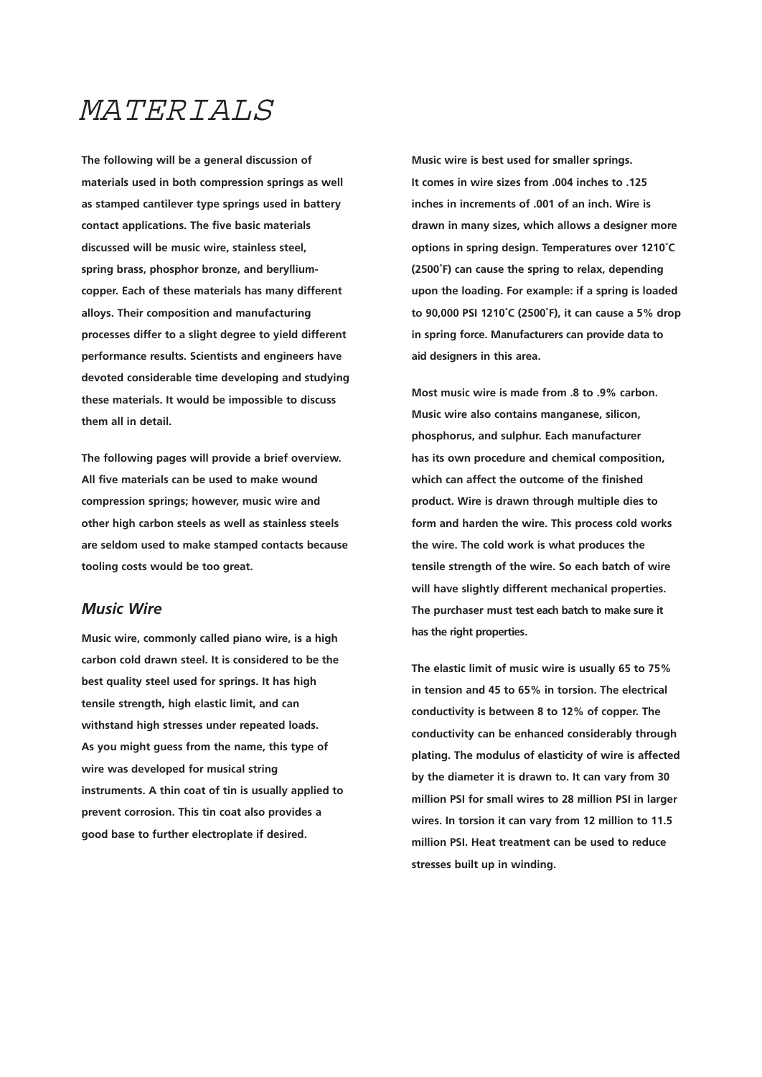# MATERIALS

**The following will be a general discussion of materials used in both compression springs as well as stamped cantilever type springs used in battery contact applications. The five basic materials discussed will be music wire, stainless steel, spring brass, phosphor bronze, and berylliumcopper. Each of these materials has many different alloys. Their composition and manufacturing processes differ to a slight degree to yield different performance results. Scientists and engineers have devoted considerable time developing and studying these materials. It would be impossible to discuss them all in detail.** 

**The following pages will provide a brief overview. All five materials can be used to make wound compression springs; however, music wire and other high carbon steels as well as stainless steels are seldom used to make stamped contacts because tooling costs would be too great.** 

### *Music Wire*

**Music wire, commonly called piano wire, is a high carbon cold drawn steel. It is considered to be the best quality steel used for springs. It has high tensile strength, high elastic limit, and can withstand high stresses under repeated loads. As you might guess from the name, this type of wire was developed for musical string instruments. A thin coat of tin is usually applied to prevent corrosion. This tin coat also provides a good base to further electroplate if desired.** 

 **aid designers in this area. Music wire is best used for smaller springs. It comes in wire sizes from .004 inches to .125 inches in increments of .001 of an inch. Wire is drawn in many sizes, which allows a designer more options in spring design. Temperatures over 1210˚C (2500˚F) can cause the spring to relax, depending upon the loading. For example: if a spring is loaded to 90,000 PSI 1210˚C (2500˚F), it can cause a 5% drop in spring force. Manufacturers can provide data to** 

**Most music wire is made from .8 to .9% carbon. Music wire also contains manganese, silicon, phosphorus, and sulphur. Each manufacturer has its own procedure and chemical composition, which can affect the outcome of the finished product. Wire is drawn through multiple dies to form and harden the wire. This process cold works the wire. The cold work is what produces the tensile strength of the wire. So each batch of wire will have slightly different mechanical properties. The purchaser must test each batch to make sure it has the right properties.** 

**The elastic limit of music wire is usually 65 to 75% in tension and 45 to 65% in torsion. The electrical conductivity is between 8 to 12% of copper. The conductivity can be enhanced considerably through plating. The modulus of elasticity of wire is affected by the diameter it is drawn to. It can vary from 30 million PSI for small wires to 28 million PSI in larger wires. In torsion it can vary from 12 million to 11.5 million PSI. Heat treatment can be used to reduce stresses built up in winding.**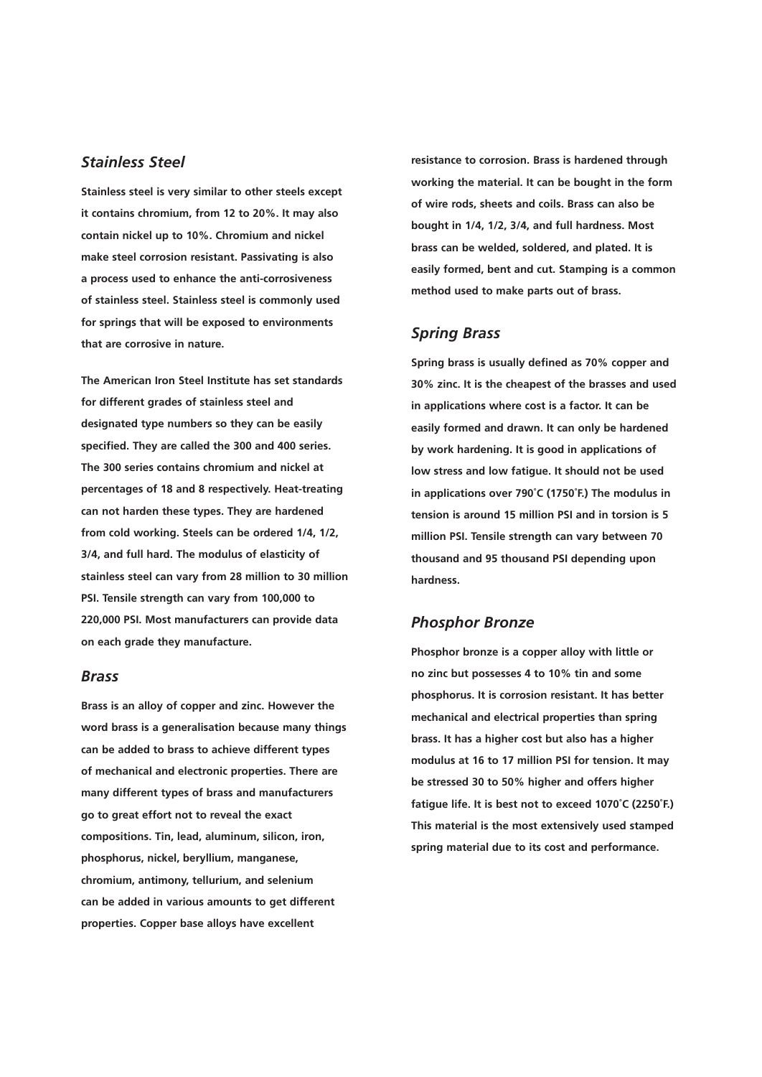## *Stainless Steel*

**Stainless steel is very similar to other steels except it contains chromium, from 12 to 20%. It may also contain nickel up to 10%. Chromium and nickel make steel corrosion resistant. Passivating is also a process used to enhance the anti-corrosiveness of stainless steel. Stainless steel is commonly used for springs that will be exposed to environments that are corrosive in nature.** 

**The American Iron Steel Institute has set standards for different grades of stainless steel and designated type numbers so they can be easily specified. They are called the 300 and 400 series. The 300 series contains chromium and nickel at percentages of 18 and 8 respectively. Heat-treating can not harden these types. They are hardened from cold working. Steels can be ordered 1/4, 1/2, 3/4, and full hard. The modulus of elasticity of stainless steel can vary from 28 million to 30 million PSI. Tensile strength can vary from 100,000 to 220,000 PSI. Most manufacturers can provide data on each grade they manufacture.** 

#### *Brass*

**Brass is an alloy of copper and zinc. However the word brass is a generalisation because many things can be added to brass to achieve different types of mechanical and electronic properties. There are many different types of brass and manufacturers go to great effort not to reveal the exact compositions. Tin, lead, aluminum, silicon, iron, phosphorus, nickel, beryllium, manganese, chromium, antimony, tellurium, and selenium can be added in various amounts to get different properties. Copper base alloys have excellent** 

**resistance to corrosion. Brass is hardened through working the material. It can be bought in the form of wire rods, sheets and coils. Brass can also be bought in 1/4, 1/2, 3/4, and full hardness. Most brass can be welded, soldered, and plated. It is easily formed, bent and cut. Stamping is a common method used to make parts out of brass.** 

#### *Spring Brass*

**Spring brass is usually defined as 70% copper and 30% zinc. It is the cheapest of the brasses and used in applications where cost is a factor. It can be easily formed and drawn. It can only be hardened by work hardening. It is good in applications of low stress and low fatigue. It should not be used in applications over 790˚C (1750˚F.) The modulus in tension is around 15 million PSI and in torsion is 5 million PSI. Tensile strength can vary between 70 thousand and 95 thousand PSI depending upon hardness.** 

#### *Phosphor Bronze*

**Phosphor bronze is a copper alloy with little or no zinc but possesses 4 to 10% tin and some phosphorus. It is corrosion resistant. It has better mechanical and electrical properties than spring brass. It has a higher cost but also has a higher modulus at 16 to 17 million PSI for tension. It may be stressed 30 to 50% higher and offers higher fatigue life. It is best not to exceed 1070˚C (2250˚F.) This material is the most extensively used stamped spring material due to its cost and performance.**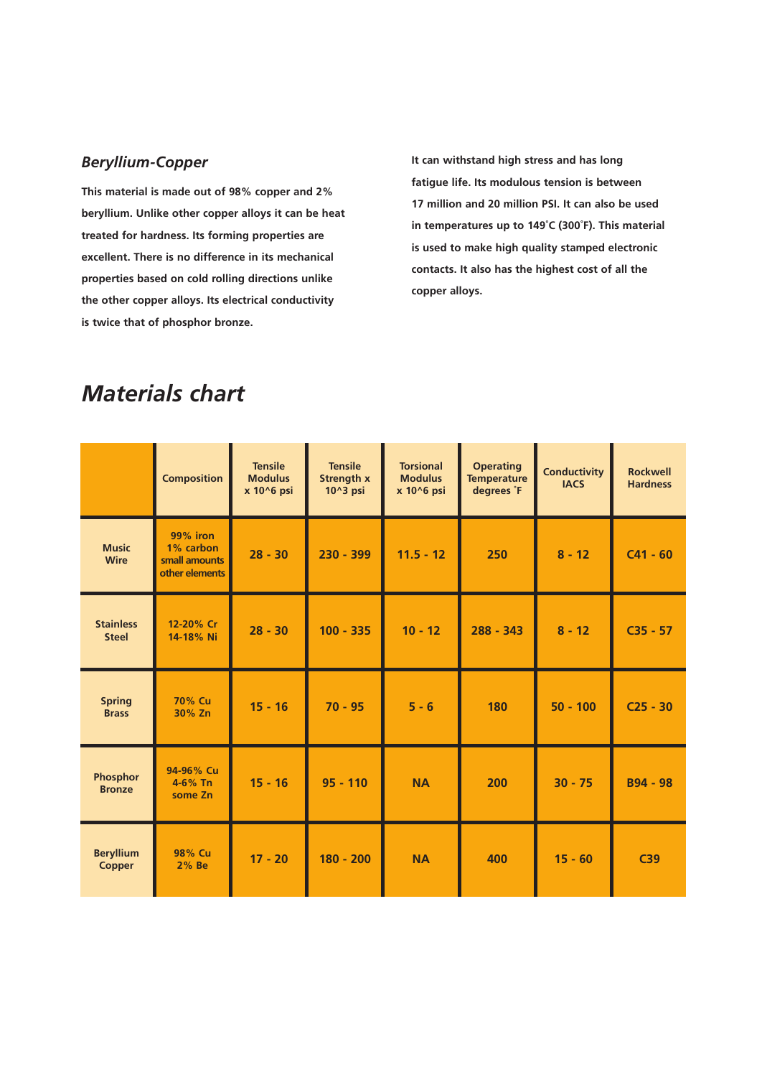# *Beryllium-Copper*

**This material is made out of 98% copper and 2% beryllium. Unlike other copper alloys it can be heat treated for hardness. Its forming properties are excellent. There is no difference in its mechanical properties based on cold rolling directions unlike the other copper alloys. Its electrical conductivity is twice that of phosphor bronze.** 

**It can withstand high stress and has long fatigue life. Its modulous tension is between 17 million and 20 million PSI. It can also be used in temperatures up to 149˚C (300˚F). This material is used to make high quality stamped electronic contacts. It also has the highest cost of all the copper alloys.** 

# *Materials chart*

|                                   | <b>Composition</b>                                       | <b>Tensile</b><br><b>Modulus</b><br>x 10^6 psi | <b>Tensile</b><br><b>Strength x</b><br>10^3 psi | <b>Torsional</b><br><b>Modulus</b><br>x 10^6 psi | <b>Operating</b><br><b>Temperature</b><br>degrees F | <b>Conductivity</b><br><b>IACS</b> | <b>Rockwell</b><br><b>Hardness</b> |
|-----------------------------------|----------------------------------------------------------|------------------------------------------------|-------------------------------------------------|--------------------------------------------------|-----------------------------------------------------|------------------------------------|------------------------------------|
| <b>Music</b><br><b>Wire</b>       | 99% iron<br>1% carbon<br>small amounts<br>other elements | $28 - 30$                                      | $230 - 399$                                     | $11.5 - 12$                                      | 250                                                 | $8 - 12$                           | $C41 - 60$                         |
| <b>Stainless</b><br><b>Steel</b>  | 12-20% Cr<br>14-18% Ni                                   | $28 - 30$                                      | $100 - 335$                                     | $10 - 12$                                        | $288 - 343$                                         | $8 - 12$                           | $C35 - 57$                         |
| <b>Spring</b><br><b>Brass</b>     | 70% Cu<br>30% Zn                                         | $15 - 16$                                      | $70 - 95$                                       | $5 - 6$                                          | 180                                                 | $50 - 100$                         | $C25 - 30$                         |
| Phosphor<br><b>Bronze</b>         | 94-96% Cu<br>4-6% Tn<br>some Zn                          | $15 - 16$                                      | $95 - 110$                                      | <b>NA</b>                                        | 200                                                 | $30 - 75$                          | <b>B94 - 98</b>                    |
| <b>Beryllium</b><br><b>Copper</b> | 98% Cu<br>2% Be                                          | $17 - 20$                                      | $180 - 200$                                     | <b>NA</b>                                        | 400                                                 | $15 - 60$                          | C39                                |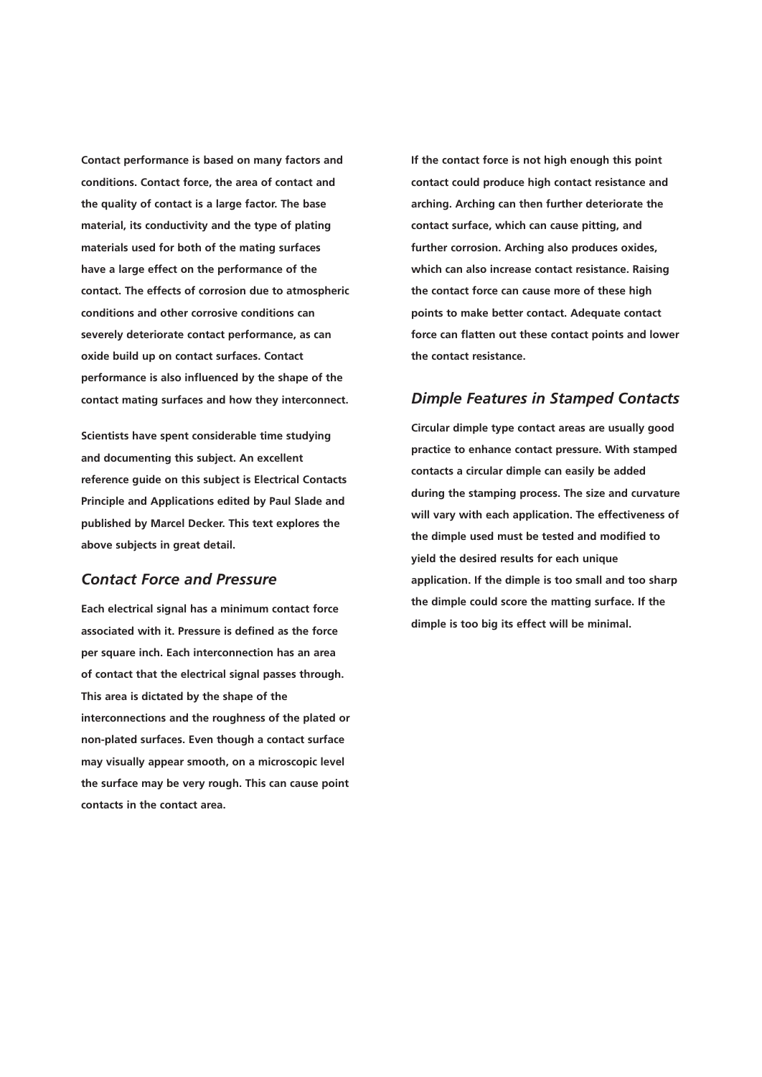**Contact performance is based on many factors and conditions. Contact force, the area of contact and the quality of contact is a large factor. The base material, its conductivity and the type of plating materials used for both of the mating surfaces have a large effect on the performance of the contact. The effects of corrosion due to atmospheric conditions and other corrosive conditions can severely deteriorate contact performance, as can oxide build up on contact surfaces. Contact performance is also influenced by the shape of the contact mating surfaces and how they interconnect.** 

**Scientists have spent considerable time studying and documenting this subject. An excellent reference guide on this subject is Electrical Contacts Principle and Applications edited by Paul Slade and published by Marcel Decker. This text explores the above subjects in great detail.** 

# *Contact Force and Pressure*

**Each electrical signal has a minimum contact force associated with it. Pressure is defined as the force per square inch. Each interconnection has an area of contact that the electrical signal passes through. This area is dictated by the shape of the interconnections and the roughness of the plated or non-plated surfaces. Even though a contact surface may visually appear smooth, on a microscopic level the surface may be very rough. This can cause point contacts in the contact area.** 

**If the contact force is not high enough this point contact could produce high contact resistance and arching. Arching can then further deteriorate the contact surface, which can cause pitting, and further corrosion. Arching also produces oxides, which can also increase contact resistance. Raising the contact force can cause more of these high points to make better contact. Adequate contact force can flatten out these contact points and lower the contact resistance.** 

#### *Dimple Features in Stamped Contacts*

**Circular dimple type contact areas are usually good practice to enhance contact pressure. With stamped contacts a circular dimple can easily be added during the stamping process. The size and curvature will vary with each application. The effectiveness of the dimple used must be tested and modified to yield the desired results for each unique application. If the dimple is too small and too sharp the dimple could score the matting surface. If the dimple is too big its effect will be minimal.**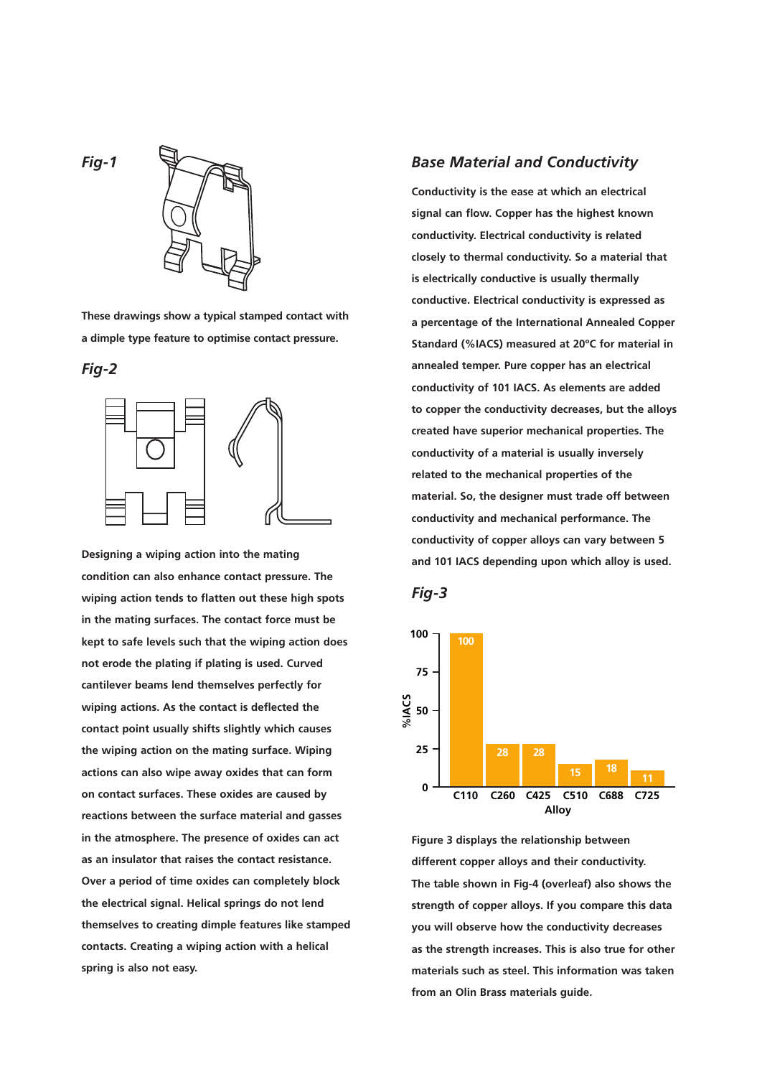*Fig-1* 



**These drawings show a typical stamped contact with a dimple type feature to optimise contact pressure.** 

*Fig-2* 



**Designing a wiping action into the mating condition can also enhance contact pressure. The wiping action tends to flatten out these high spots in the mating surfaces. The contact force must be kept to safe levels such that the wiping action does not erode the plating if plating is used. Curved cantilever beams lend themselves perfectly for wiping actions. As the contact is deflected the contact point usually shifts slightly which causes the wiping action on the mating surface. Wiping actions can also wipe away oxides that can form on contact surfaces. These oxides are caused by reactions between the surface material and gasses in the atmosphere. The presence of oxides can act as an insulator that raises the contact resistance. Over a period of time oxides can completely block the electrical signal. Helical springs do not lend themselves to creating dimple features like stamped contacts. Creating a wiping action with a helical spring is also not easy.** 

## *Base Material and Conductivity*

**Conductivity is the ease at which an electrical signal can flow. Copper has the highest known conductivity. Electrical conductivity is related closely to thermal conductivity. So a material that is electrically conductive is usually thermally conductive. Electrical conductivity is expressed as a percentage of the International Annealed Copper Standard (%IACS) measured at 20ºC for material in annealed temper. Pure copper has an electrical conductivity of 101 IACS. As elements are added to copper the conductivity decreases, but the alloys created have superior mechanical properties. The conductivity of a material is usually inversely related to the mechanical properties of the material. So, the designer must trade off between conductivity and mechanical performance. The conductivity of copper alloys can vary between 5 and 101 IACS depending upon which alloy is used.** 





**Figure 3 displays the relationship between different copper alloys and their conductivity. The table shown in Fig-4 (overleaf) also shows the strength of copper alloys. If you compare this data you will observe how the conductivity decreases as the strength increases. This is also true for other materials such as steel. This information was taken from an Olin Brass materials guide.**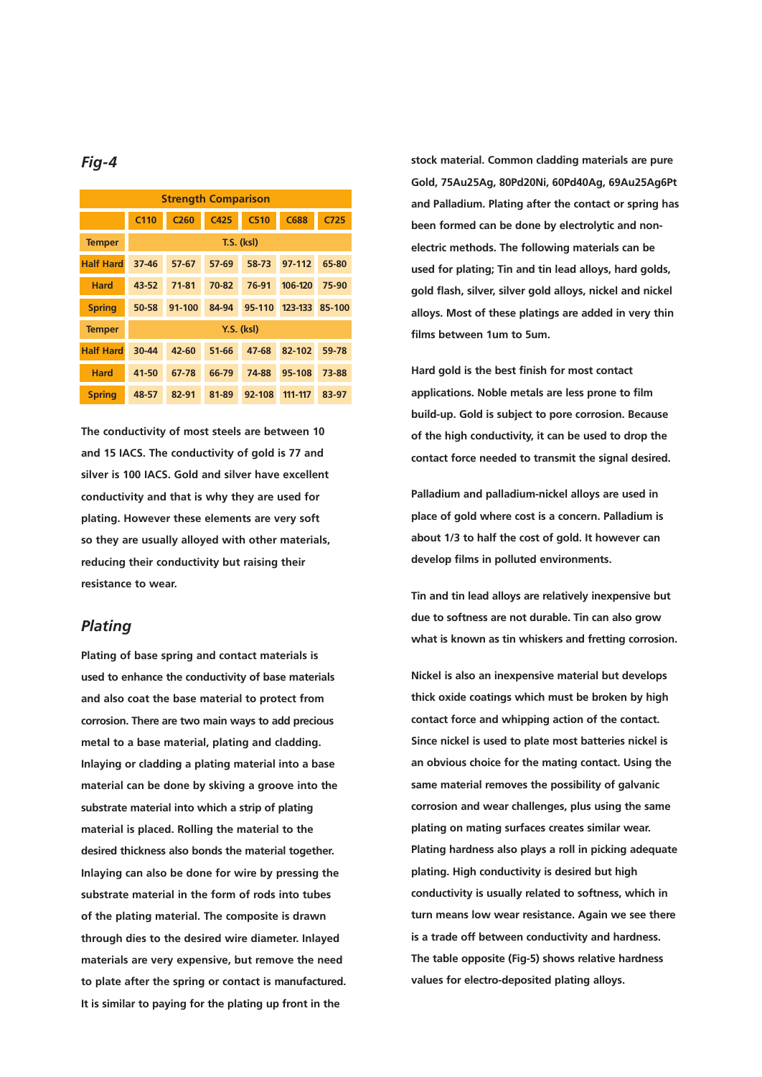# *Fig-4*

| <b>Strength Comparison</b> |                   |                  |       |        |             |                  |  |  |
|----------------------------|-------------------|------------------|-------|--------|-------------|------------------|--|--|
|                            | C <sub>110</sub>  | C <sub>260</sub> | C425  | C510   | <b>C688</b> | C <sub>725</sub> |  |  |
| <b>Temper</b>              | <b>T.S. (ksl)</b> |                  |       |        |             |                  |  |  |
| <b>Half Hard</b>           | 37-46             | $57-67$          | 57-69 | 58-73  | 97-112      | 65-80            |  |  |
| <b>Hard</b>                | 43-52             | 71-81            | 70-82 | 76-91  | 106-120     | 75-90            |  |  |
| <b>Spring</b>              | 50-58             | 91-100           | 84-94 | 95-110 | 123-133     | 85-100           |  |  |
| <b>Temper</b>              | <b>Y.S. (ksl)</b> |                  |       |        |             |                  |  |  |
| <b>Half Hard</b>           | 30-44             | $42 - 60$        | 51-66 | 47-68  | 82-102      | 59-78            |  |  |
| <b>Hard</b>                | 41-50             | 67-78            | 66-79 | 74-88  | 95-108      | 73-88            |  |  |
| <b>Spring</b>              | 48-57             | 82-91            | 81-89 | 92-108 | 111-117     | 83-97            |  |  |

**The conductivity of most steels are between 10 and 15 IACS. The conductivity of gold is 77 and silver is 100 IACS. Gold and silver have excellent conductivity and that is why they are used for plating. However these elements are very soft so they are usually alloyed with other materials, reducing their conductivity but raising their resistance to wear.** 

#### *Plating*

**Plating of base spring and contact materials is used to enhance the conductivity of base materials and also coat the base material to protect from corrosion. There are two main ways to add precious metal to a base material, plating and cladding. Inlaying or cladding a plating material into a base material can be done by skiving a groove into the substrate material into which a strip of plating material is placed. Rolling the material to the desired thickness also bonds the material together. Inlaying can also be done for wire by pressing the substrate material in the form of rods into tubes of the plating material. The composite is drawn through dies to the desired wire diameter. Inlayed materials are very expensive, but remove the need to plate after the spring or contact is manufactured. It is similar to paying for the plating up front in the** 

**stock material. Common cladding materials are pure Gold, 75Au25Ag, 80Pd20Ni, 60Pd40Ag, 69Au25Ag6Pt and Palladium. Plating after the contact or spring has been formed can be done by electrolytic and nonelectric methods. The following materials can be used for plating; Tin and tin lead alloys, hard golds, gold flash, silver, silver gold alloys, nickel and nickel alloys. Most of these platings are added in very thin films between 1um to 5um.** 

**Hard gold is the best finish for most contact applications. Noble metals are less prone to film build-up. Gold is subject to pore corrosion. Because of the high conductivity, it can be used to drop the contact force needed to transmit the signal desired.** 

**Palladium and palladium-nickel alloys are used in place of gold where cost is a concern. Palladium is about 1/3 to half the cost of gold. It however can develop films in polluted environments.** 

**Tin and tin lead alloys are relatively inexpensive but due to softness are not durable. Tin can also grow what is known as tin whiskers and fretting corrosion.** 

**Nickel is also an inexpensive material but develops thick oxide coatings which must be broken by high contact force and whipping action of the contact. Since nickel is used to plate most batteries nickel is an obvious choice for the mating contact. Using the same material removes the possibility of galvanic corrosion and wear challenges, plus using the same plating on mating surfaces creates similar wear. Plating hardness also plays a roll in picking adequate plating. High conductivity is desired but high conductivity is usually related to softness, which in turn means low wear resistance. Again we see there is a trade off between conductivity and hardness. The table opposite (Fig-5) shows relative hardness values for electro-deposited plating alloys.**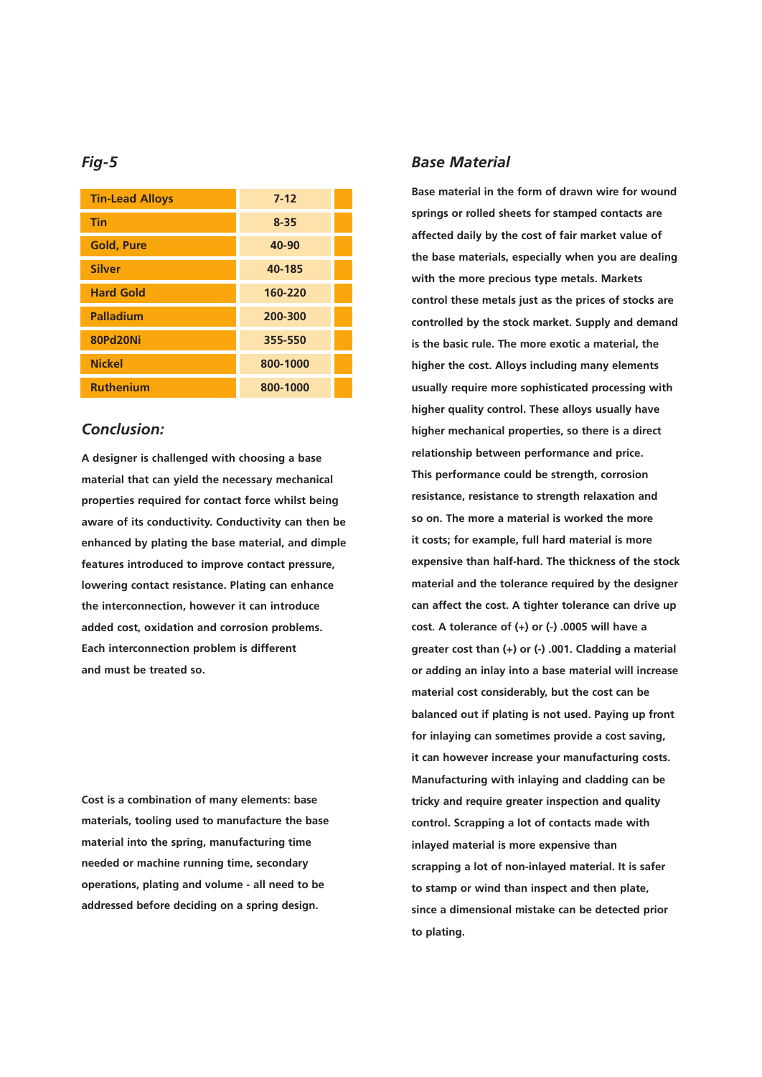# *Fig-5*

| <b>Tin-Lead Alloys</b> | $7 - 12$ |  |
|------------------------|----------|--|
| <b>Tin</b>             | $8 - 35$ |  |
| <b>Gold, Pure</b>      | 40-90    |  |
| <b>Silver</b>          | 40-185   |  |
| <b>Hard Gold</b>       | 160-220  |  |
| <b>Palladium</b>       | 200-300  |  |
| <b>80Pd20Ni</b>        | 355-550  |  |
| <b>Nickel</b>          | 800-1000 |  |
| <b>Ruthenium</b>       | 800-1000 |  |

# *Conclusion:*

**A designer is challenged with choosing a base material that can yield the necessary mechanical properties required for contact force whilst being aware of its conductivity. Conductivity can then be enhanced by plating the base material, and dimple features introduced to improve contact pressure, lowering contact resistance. Plating can enhance the interconnection, however it can introduce added cost, oxidation and corrosion problems. Each interconnection problem is different and must be treated so.** 

**Cost is a combination of many elements: base materials, tooling used to manufacture the base material into the spring, manufacturing time needed or machine running time, secondary operations, plating and volume - all need to be addressed before deciding on a spring design.** 

# *Base Material*

**Base material in the form of drawn wire for wound springs or rolled sheets for stamped contacts are affected daily by the cost of fair market value of the base materials, especially when you are dealing with the more precious type metals. Markets control these metals just as the prices of stocks are controlled by the stock market. Supply and demand is the basic rule. The more exotic a material, the higher the cost. Alloys including many elements usually require more sophisticated processing with higher quality control. These alloys usually have higher mechanical properties, so there is a direct relationship between performance and price. This performance could be strength, corrosion resistance, resistance to strength relaxation and so on. The more a material is worked the more it costs; for example, full hard material is more expensive than half-hard. The thickness of the stock material and the tolerance required by the designer can affect the cost. A tighter tolerance can drive up cost. A tolerance of (+) or (-) .0005 will have a greater cost than (+) or (-) .001. Cladding a material or adding an inlay into a base material will increase material cost considerably, but the cost can be balanced out if plating is not used. Paying up front for inlaying can sometimes provide a cost saving, it can however increase your manufacturing costs. Manufacturing with inlaying and cladding can be tricky and require greater inspection and quality control. Scrapping a lot of contacts made with inlayed material is more expensive than scrapping a lot of non-inlayed material. It is safer to stamp or wind than inspect and then plate, since a dimensional mistake can be detected prior to plating.**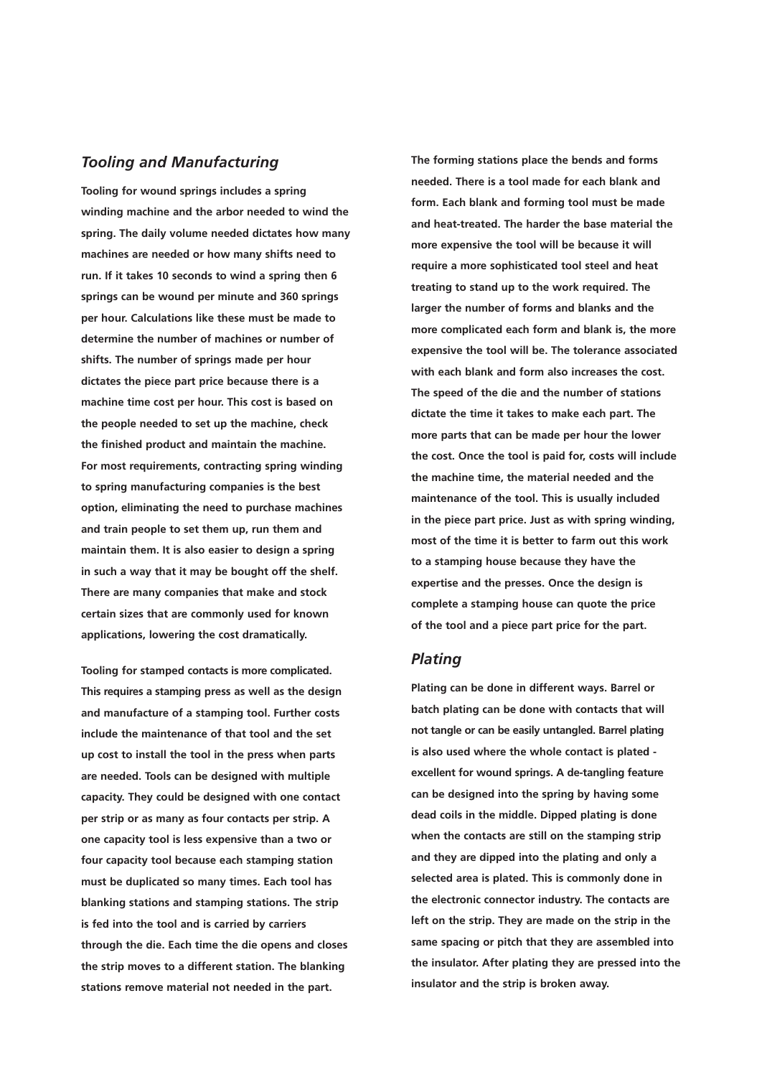# *Tooling and Manufacturing*

**Tooling for wound springs includes a spring winding machine and the arbor needed to wind the spring. The daily volume needed dictates how many machines are needed or how many shifts need to run. If it takes 10 seconds to wind a spring then 6 springs can be wound per minute and 360 springs per hour. Calculations like these must be made to determine the number of machines or number of shifts. The number of springs made per hour dictates the piece part price because there is a machine time cost per hour. This cost is based on the people needed to set up the machine, check the finished product and maintain the machine. For most requirements, contracting spring winding to spring manufacturing companies is the best option, eliminating the need to purchase machines and train people to set them up, run them and maintain them. It is also easier to design a spring in such a way that it may be bought off the shelf. There are many companies that make and stock certain sizes that are commonly used for known applications, lowering the cost dramatically.** 

**Tooling for stamped contacts is more complicated. This requires a stamping press as well as the design and manufacture of a stamping tool. Further costs include the maintenance of that tool and the set up cost to install the tool in the press when parts are needed. Tools can be designed with multiple capacity. They could be designed with one contact per strip or as many as four contacts per strip. A one capacity tool is less expensive than a two or four capacity tool because each stamping station must be duplicated so many times. Each tool has blanking stations and stamping stations. The strip is fed into the tool and is carried by carriers through the die. Each time the die opens and closes the strip moves to a different station. The blanking stations remove material not needed in the part.** 

**The forming stations place the bends and forms needed. There is a tool made for each blank and form. Each blank and forming tool must be made and heat-treated. The harder the base material the more expensive the tool will be because it will require a more sophisticated tool steel and heat treating to stand up to the work required. The larger the number of forms and blanks and the more complicated each form and blank is, the more expensive the tool will be. The tolerance associated with each blank and form also increases the cost. The speed of the die and the number of stations dictate the time it takes to make each part. The more parts that can be made per hour the lower the cost. Once the tool is paid for, costs will include the machine time, the material needed and the maintenance of the tool. This is usually included in the piece part price. Just as with spring winding, most of the time it is better to farm out this work to a stamping house because they have the expertise and the presses. Once the design is complete a stamping house can quote the price of the tool and a piece part price for the part.** 

#### *Plating*

**Plating can be done in different ways. Barrel or batch plating can be done with contacts that will not tangle or can be easily untangled. Barrel plating is also used where the whole contact is plated excellent for wound springs. A de-tangling feature can be designed into the spring by having some dead coils in the middle. Dipped plating is done when the contacts are still on the stamping strip and they are dipped into the plating and only a selected area is plated. This is commonly done in the electronic connector industry. The contacts are left on the strip. They are made on the strip in the same spacing or pitch that they are assembled into the insulator. After plating they are pressed into the insulator and the strip is broken away.**